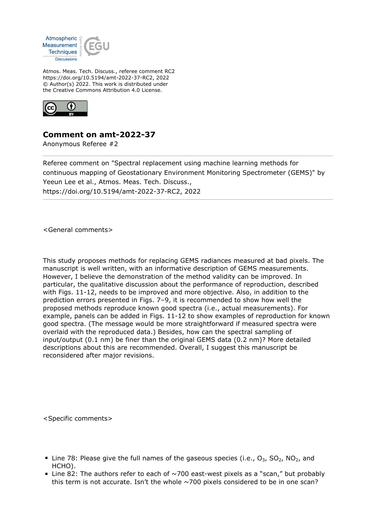

Atmos. Meas. Tech. Discuss., referee comment RC2 https://doi.org/10.5194/amt-2022-37-RC2, 2022 © Author(s) 2022. This work is distributed under the Creative Commons Attribution 4.0 License.



## **Comment on amt-2022-37**

Anonymous Referee #2

Referee comment on "Spectral replacement using machine learning methods for continuous mapping of Geostationary Environment Monitoring Spectrometer (GEMS)" by Yeeun Lee et al., Atmos. Meas. Tech. Discuss., https://doi.org/10.5194/amt-2022-37-RC2, 2022

<General comments>

This study proposes methods for replacing GEMS radiances measured at bad pixels. The manuscript is well written, with an informative description of GEMS measurements. However, I believe the demonstration of the method validity can be improved. In particular, the qualitative discussion about the performance of reproduction, described with Figs. 11-12, needs to be improved and more objective. Also, in addition to the prediction errors presented in Figs. 7–9, it is recommended to show how well the proposed methods reproduce known good spectra (i.e., actual measurements). For example, panels can be added in Figs. 11-12 to show examples of reproduction for known good spectra. (The message would be more straightforward if measured spectra were overlaid with the reproduced data.) Besides, how can the spectral sampling of input/output (0.1 nm) be finer than the original GEMS data (0.2 nm)? More detailed descriptions about this are recommended. Overall, I suggest this manuscript be reconsidered after major revisions.

<Specific comments>

- **EXA** Line 78: Please give the full names of the gaseous species (i.e.,  $O_{3}$ ,  $SO_{2}$ , NO<sub>2</sub>, and HCHO).
- Line 82: The authors refer to each of  $\sim$ 700 east-west pixels as a "scan," but probably this term is not accurate. Isn't the whole  $\sim$ 700 pixels considered to be in one scan?